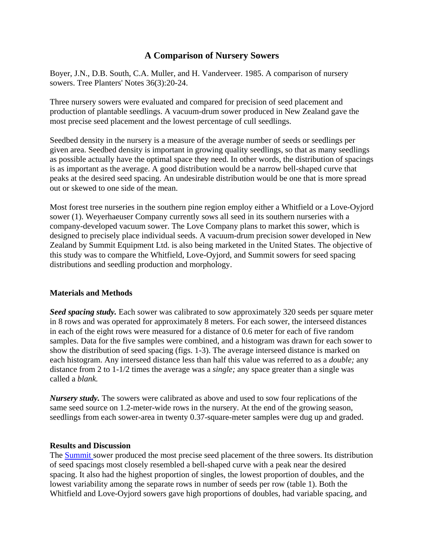# **A Comparison of Nursery Sowers**

Boyer, J.N., D.B. South, C.A. Muller, and H. Vanderveer. 1985. A comparison of nursery sowers. Tree Planters' Notes 36(3):20-24.

Three nursery sowers were evaluated and compared for precision of seed placement and production of plantable seedlings. A vacuum-drum sower produced in New Zealand gave the most precise seed placement and the lowest percentage of cull seedlings.

Seedbed density in the nursery is a measure of the average number of seeds or seedlings per given area. Seedbed density is important in growing quality seedlings, so that as many seedlings as possible actually have the optimal space they need. In other words, the distribution of spacings is as important as the average. A good distribution would be a narrow bell-shaped curve that peaks at the desired seed spacing. An undesirable distribution would be one that is more spread out or skewed to one side of the mean.

Most forest tree nurseries in the southern pine region employ either a Whitfield or a Love-Oyjord sower (1). Weyerhaeuser Company currently sows all seed in its southern nurseries with a company-developed vacuum sower. The Love Company plans to market this sower, which is designed to precisely place individual seeds. A vacuum-drum precision sower developed in New Zealand by Summit Equipment Ltd. is also being marketed in the United States. The objective of this study was to compare the Whitfield, Love-Oyjord, and Summit sowers for seed spacing distributions and seedling production and morphology.

## **Materials and Methods**

*Seed spacing study.* Each sower was calibrated to sow approximately 320 seeds per square meter in 8 rows and was operated for approximately 8 meters. For each sower, the interseed distances in each of the eight rows were measured for a distance of 0.6 meter for each of five random samples. Data for the five samples were combined, and a histogram was drawn for each sower to show the distribution of seed spacing (figs. 1-3). The average interseed distance is marked on each histogram. Any interseed distance less than half this value was referred to as a *double;* any distance from 2 to 1-1/2 times the average was a *single;* any space greater than a single was called a *blank.*

*Nursery study.* The sowers were calibrated as above and used to sow four replications of the same seed source on 1.2-meter-wide rows in the nursery. At the end of the growing season, seedlings from each sower-area in twenty 0.37-square-meter samples were dug up and graded.

### **Results and Discussion**

The **[Summit](https://www.nurserycoop.auburn.edu/images/summit.jpg)** sower produced the most precise seed placement of the three sowers. Its distribution of seed spacings most closely resembled a bell-shaped curve with a peak near the desired spacing. It also had the highest proportion of singles, the lowest proportion of doubles, and the lowest variability among the separate rows in number of seeds per row (table 1). Both the Whitfield and Love-Oyjord sowers gave high proportions of doubles, had variable spacing, and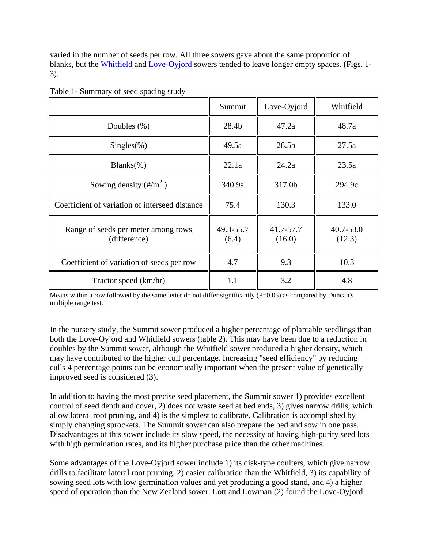varied in the number of seeds per row. All three sowers gave about the same proportion of blanks, but the [Whitfield](https://www.nurserycoop.auburn.edu/images/whitfield.jpg) and [Love-Oyjord](https://www.nurserycoop.auburn.edu/images/oyjord.jpg) sowers tended to leave longer empty spaces. (Figs. 1- 3).

|                                                     | Summit             | Love-Oyjord         | Whitfield               |
|-----------------------------------------------------|--------------------|---------------------|-------------------------|
| Doubles $(\%)$                                      | 28.4b              | 47.2a               | 48.7a                   |
| $Singles(\%)$                                       | 49.5a              | 28.5 <sub>b</sub>   | 27.5a                   |
| $Blanks(\% )$                                       | 22.1a              | 24.2a               | 23.5a                   |
| Sowing density $(\frac{\text{H}}{\text{m}^2})$      | 340.9a             | 317.0b              | 294.9c                  |
| Coefficient of variation of interseed distance      | 75.4               | 130.3               | 133.0                   |
| Range of seeds per meter among rows<br>(difference) | 49.3-55.7<br>(6.4) | 41.7-57.7<br>(16.0) | $40.7 - 53.0$<br>(12.3) |
| Coefficient of variation of seeds per row           | 4.7                | 9.3                 | 10.3                    |
| Tractor speed (km/hr)                               | 1.1                | 3.2                 | 4.8                     |

Table 1- Summary of seed spacing study

Means within a row followed by the same letter do not differ significantly (P=0.05) as compared by Duncan's multiple range test.

In the nursery study, the Summit sower produced a higher percentage of plantable seedlings than both the Love-Oyjord and Whitfield sowers (table 2). This may have been due to a reduction in doubles by the Summit sower, although the Whitfield sower produced a higher density, which may have contributed to the higher cull percentage. Increasing "seed efficiency" by reducing culls 4 percentage points can be economically important when the present value of genetically improved seed is considered (3).

In addition to having the most precise seed placement, the Summit sower 1) provides excellent control of seed depth and cover, 2) does not waste seed at bed ends, 3) gives narrow drills, which allow lateral root pruning, and 4) is the simplest to calibrate. Calibration is accomplished by simply changing sprockets. The Summit sower can also prepare the bed and sow in one pass. Disadvantages of this sower include its slow speed, the necessity of having high-purity seed lots with high germination rates, and its higher purchase price than the other machines.

Some advantages of the Love-Oyjord sower include 1) its disk-type coulters, which give narrow drills to facilitate lateral root pruning, 2) easier calibration than the Whitfield, 3) its capability of sowing seed lots with low germination values and yet producing a good stand, and 4) a higher speed of operation than the New Zealand sower. Lott and Lowman (2) found the Love-Oyjord